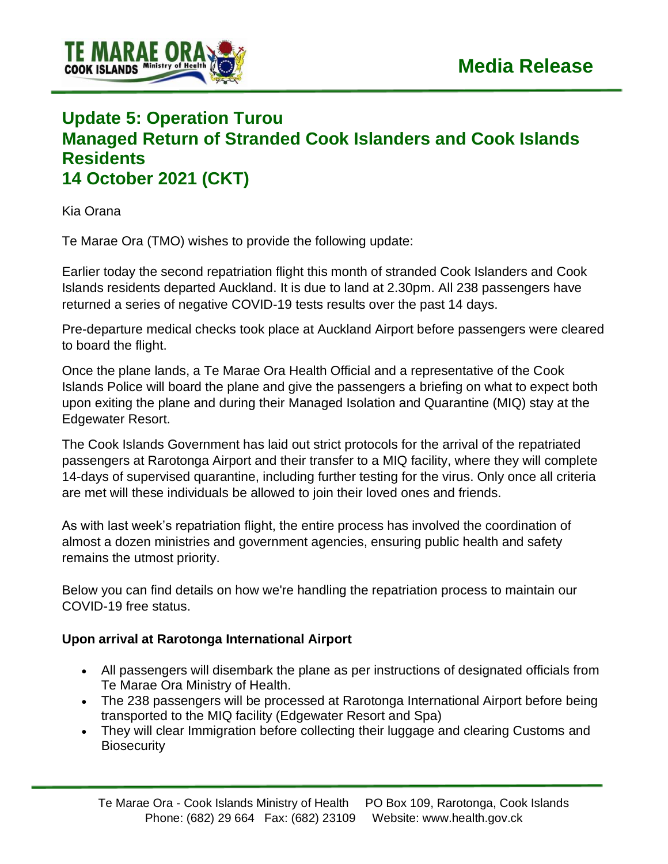

## **Update 5: Operation Turou Managed Return of Stranded Cook Islanders and Cook Islands Residents 14 October 2021 (CKT)**

Kia Orana

Te Marae Ora (TMO) wishes to provide the following update:

Earlier today the second repatriation flight this month of stranded Cook Islanders and Cook Islands residents departed Auckland. It is due to land at 2.30pm. All 238 passengers have returned a series of negative COVID-19 tests results over the past 14 days.

Pre-departure medical checks took place at Auckland Airport before passengers were cleared to board the flight.

Once the plane lands, a Te Marae Ora Health Official and a representative of the Cook Islands Police will board the plane and give the passengers a briefing on what to expect both upon exiting the plane and during their Managed Isolation and Quarantine (MIQ) stay at the Edgewater Resort.

The Cook Islands Government has laid out strict protocols for the arrival of the repatriated passengers at Rarotonga Airport and their transfer to a MIQ facility, where they will complete 14-days of supervised quarantine, including further testing for the virus. Only once all criteria are met will these individuals be allowed to join their loved ones and friends.

As with last week's repatriation flight, the entire process has involved the coordination of almost a dozen ministries and government agencies, ensuring public health and safety remains the utmost priority.

Below you can find details on how we're handling the repatriation process to maintain our COVID-19 free status.

## **Upon arrival at Rarotonga International Airport**

- All passengers will disembark the plane as per instructions of designated officials from Te Marae Ora Ministry of Health.
- The 238 passengers will be processed at Rarotonga International Airport before being transported to the MIQ facility (Edgewater Resort and Spa)
- They will clear Immigration before collecting their luggage and clearing Customs and **Biosecurity**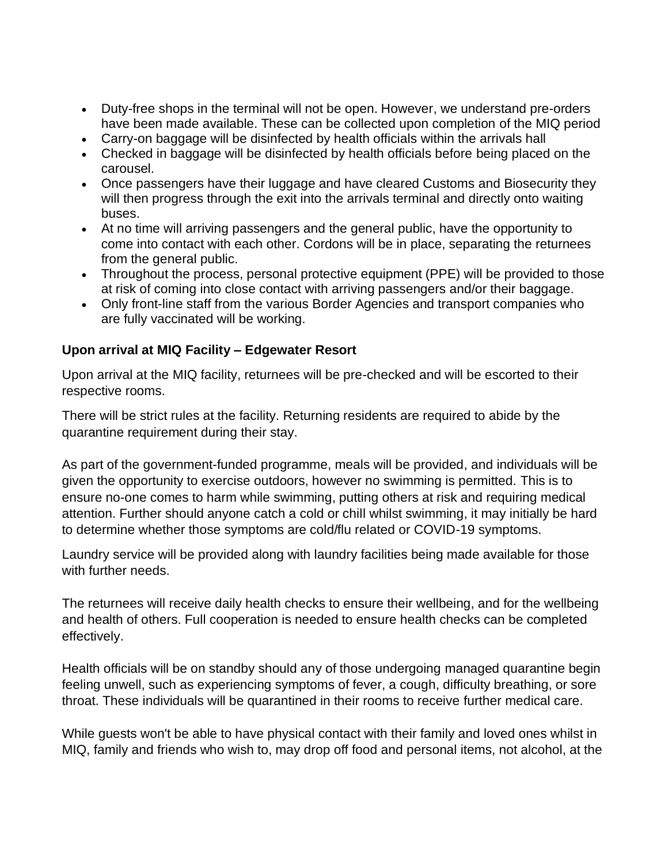- Duty-free shops in the terminal will not be open. However, we understand pre-orders have been made available. These can be collected upon completion of the MIQ period
- Carry-on baggage will be disinfected by health officials within the arrivals hall
- Checked in baggage will be disinfected by health officials before being placed on the carousel.
- Once passengers have their luggage and have cleared Customs and Biosecurity they will then progress through the exit into the arrivals terminal and directly onto waiting buses.
- At no time will arriving passengers and the general public, have the opportunity to come into contact with each other. Cordons will be in place, separating the returnees from the general public.
- Throughout the process, personal protective equipment (PPE) will be provided to those at risk of coming into close contact with arriving passengers and/or their baggage.
- Only front-line staff from the various Border Agencies and transport companies who are fully vaccinated will be working.

## **Upon arrival at MIQ Facility – Edgewater Resort**

Upon arrival at the MIQ facility, returnees will be pre-checked and will be escorted to their respective rooms.

There will be strict rules at the facility. Returning residents are required to abide by the quarantine requirement during their stay.

As part of the government-funded programme, meals will be provided, and individuals will be given the opportunity to exercise outdoors, however no swimming is permitted. This is to ensure no-one comes to harm while swimming, putting others at risk and requiring medical attention. Further should anyone catch a cold or chill whilst swimming, it may initially be hard to determine whether those symptoms are cold/flu related or COVID-19 symptoms.

Laundry service will be provided along with laundry facilities being made available for those with further needs.

The returnees will receive daily health checks to ensure their wellbeing, and for the wellbeing and health of others. Full cooperation is needed to ensure health checks can be completed effectively.

Health officials will be on standby should any of those undergoing managed quarantine begin feeling unwell, such as experiencing symptoms of fever, a cough, difficulty breathing, or sore throat. These individuals will be quarantined in their rooms to receive further medical care.

While guests won't be able to have physical contact with their family and loved ones whilst in MIQ, family and friends who wish to, may drop off food and personal items, not alcohol, at the